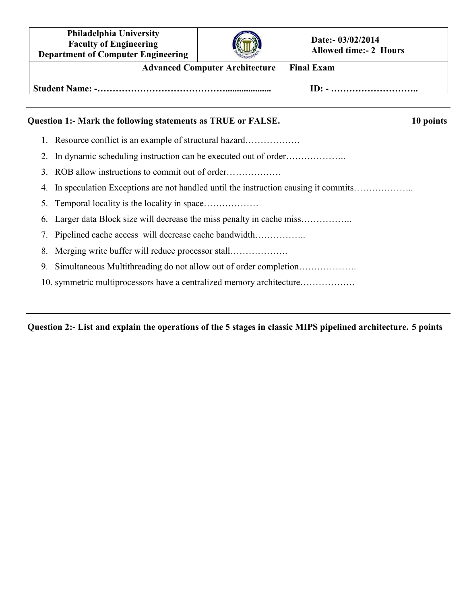**Philadelphia University Faculty of Engineering Department of Computer Engineering**



**Date:- 03/02/2014 Allowed time:- 2 Hours**

| <b>Advanced Computer Architecture Final Exam</b>             |                                                               |
|--------------------------------------------------------------|---------------------------------------------------------------|
|                                                              | $ID: - \dots \dots \dots \dots \dots \dots \dots \dots \dots$ |
| Question 1:- Mark the following statements as TRUE or FALSE. | 10 points                                                     |

- 1. Resource conflict is an example of structural hazard………………
- 2. In dynamic scheduling instruction can be executed out of order………………..
- 3. ROB allow instructions to commit out of order………………
- 4. In speculation Exceptions are not handled until the instruction causing it commits………………..
- 5. Temporal locality is the locality in space………………
- 6. Larger data Block size will decrease the miss penalty in cache miss……………..
- 7. Pipelined cache access will decrease cache bandwidth……………..
- 8. Merging write buffer will reduce processor stall……………….
- 9. Simultaneous Multithreading do not allow out of order completion……………….
- 10. symmetric multiprocessors have a centralized memory architecture………………

**Question 2:- List and explain the operations of the 5 stages in classic MIPS pipelined architecture. 5 points**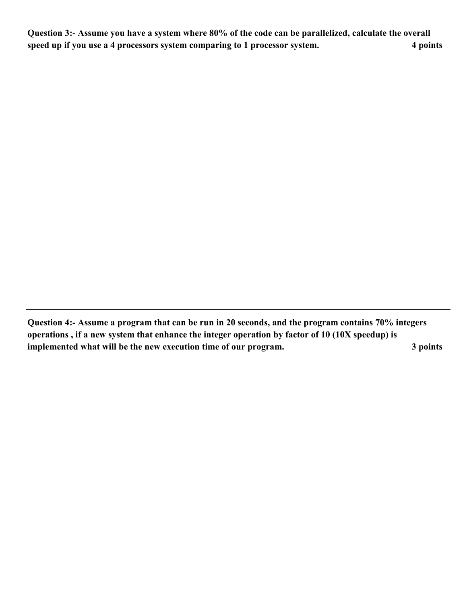**Question 3:- Assume you have a system where 80% of the code can be parallelized, calculate the overall speed up if you use a 4 processors system comparing to 1 processor system. 4 points** 

**Question 4:- Assume a program that can be run in 20 seconds, and the program contains 70% integers operations , if a new system that enhance the integer operation by factor of 10 (10X speedup) is implemented what will be the new execution time of our program. 3 points**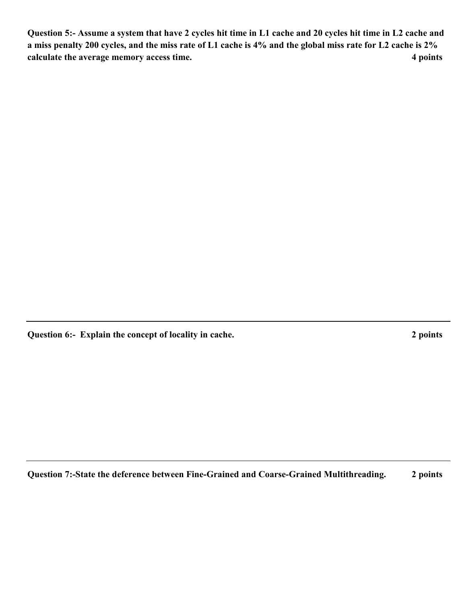**Question 5:- Assume a system that have 2 cycles hit time in L1 cache and 20 cycles hit time in L2 cache and a miss penalty 200 cycles, and the miss rate of L1 cache is 4% and the global miss rate for L2 cache is 2% calculate the average memory access time.** 4 points **4 points** 

**Question 6:- Explain the concept of locality in cache. 2 points** 

**Question 7:-State the deference between Fine-Grained and Coarse-Grained Multithreading. 2 points**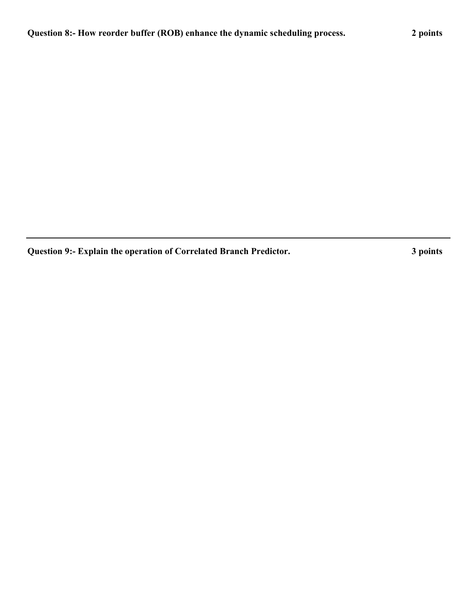**Question 9:- Explain the operation of Correlated Branch Predictor. 3 points**